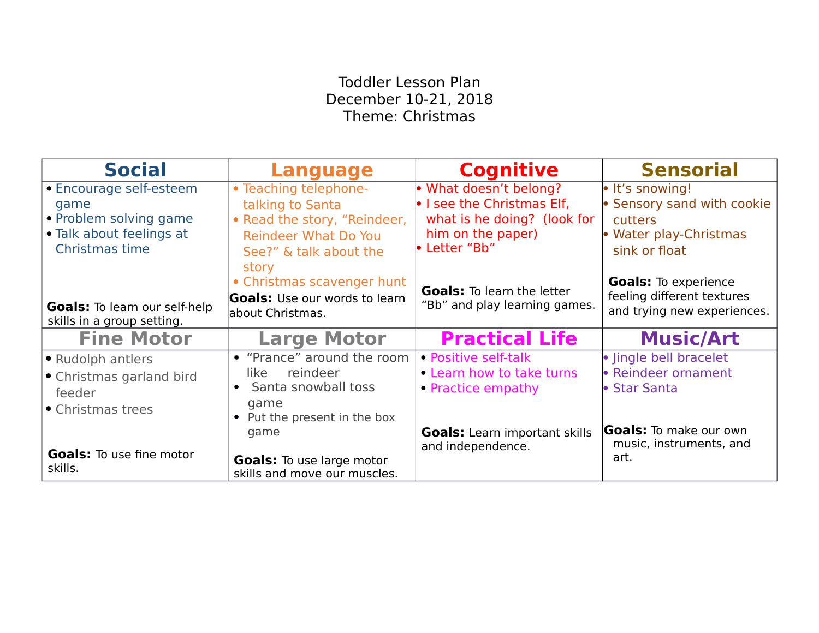## Toddler Lesson Plan December 10-21, 2018 Theme: Christmas

| <b>Social</b>                                                                                           | <b>Language</b>                                                                                                                    | <b>Cognitive</b>                                                                                                          | <b>Sensorial</b>                                                                                    |
|---------------------------------------------------------------------------------------------------------|------------------------------------------------------------------------------------------------------------------------------------|---------------------------------------------------------------------------------------------------------------------------|-----------------------------------------------------------------------------------------------------|
| • Encourage self-esteem<br>game<br>• Problem solving game<br>• Talk about feelings at<br>Christmas time | • Teaching telephone-<br>talking to Santa<br>• Read the story, "Reindeer,<br><b>Reindeer What Do You</b><br>See?" & talk about the | • What doesn't belong?<br>. I see the Christmas Elf,<br>what is he doing? (look for<br>him on the paper)<br>• Letter "Bb" | • It's snowing!<br>• Sensory sand with cookie<br>cutters<br>• Water play-Christmas<br>sink or float |
| <b>Goals:</b> To learn our self-help<br>skills in a group setting.                                      | story<br>• Christmas scavenger hunt<br><b>Goals:</b> Use our words to learn<br>about Christmas.                                    | <b>Goals:</b> To learn the letter<br>"Bb" and play learning games.                                                        | <b>Goals:</b> To experience<br>feeling different textures<br>and trying new experiences.            |
| <b>Fine Motor</b>                                                                                       | <b>Large Motor</b>                                                                                                                 | <b>Practical Life</b>                                                                                                     | <b>Music/Art</b>                                                                                    |
| • Rudolph antlers<br>• Christmas garland bird<br>feeder<br>• Christmas trees                            | • "Prance" around the room<br>reindeer<br>like<br>• Santa snowball toss<br>game<br>• Put the present in the box                    | • Positive self-talk<br>• Learn how to take turns<br>• Practice empathy                                                   | · Jingle bell bracelet<br>• Reindeer ornament<br>• Star Santa                                       |
| <b>Goals:</b> To use fine motor<br>skills.                                                              | game<br><b>Goals:</b> To use large motor<br>skills and move our muscles.                                                           | <b>Goals:</b> Learn important skills<br>and independence.                                                                 | <b>Goals:</b> To make our own<br>music, instruments, and<br>art.                                    |